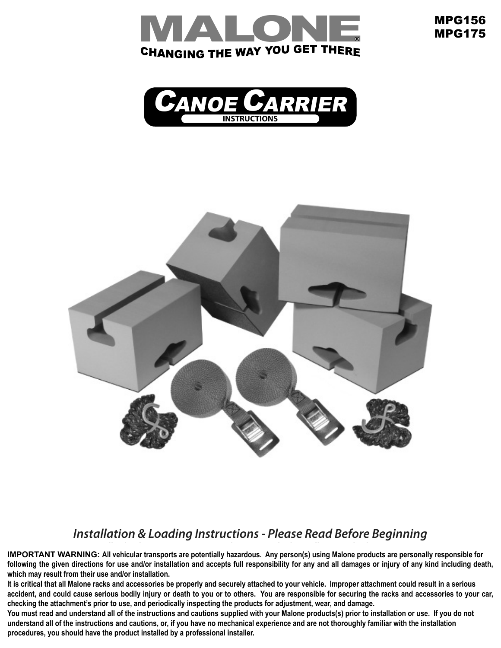

MPG156 MPG175





### *From the far side, dress the straps under the cross rails and back over the canoe. Insert the strap free ends into the buckles and pull Installation & Loading Instructions - Please Read Before Beginning*

*Finishing the Installation: down to tighten. Wrap excess strap length around the cross rails. Veuillez lire les instructions avant d'entreprendre l'installation et le chargement* **1 which may result from their use and/or installation.** . Prior to insert a bolt into the mounting holes in the mounting holes into the mounting  $\mathbf{r}$ **IMPORTANT WARNING: All vehicular transports are potentially hazardous. Any person(s) using Malone products are personally responsible for following the given directions for use and/or installation and accepts full responsibility for any and all damages or injury of any kind including death,** 

It is critical that all Malone racks and accessories be properly and securely attached to your vehicle. Improper attachment could result in a serious accident, and could cause serious bodily injury or death to you or to others. You are responsible for securing the racks and accessories to your car, *vehicle. Check the set-up for tighteness and overall safety after 5* **checking the attachment's prior to use, and periodically inspecting the products for adjustment, wear, and damage.** 

checking the attachment's prior to use, and periodically inspecting the products for adjustment, wear, and damage.<br>You must read and understand all of the instructions and cautions supplied with your Malone products(s) pri understand all of the instructions and cautions, or, if you have no mechanical experience and are not thoroughly familiar with the installation procedures, you should have the product installed by a professional installer.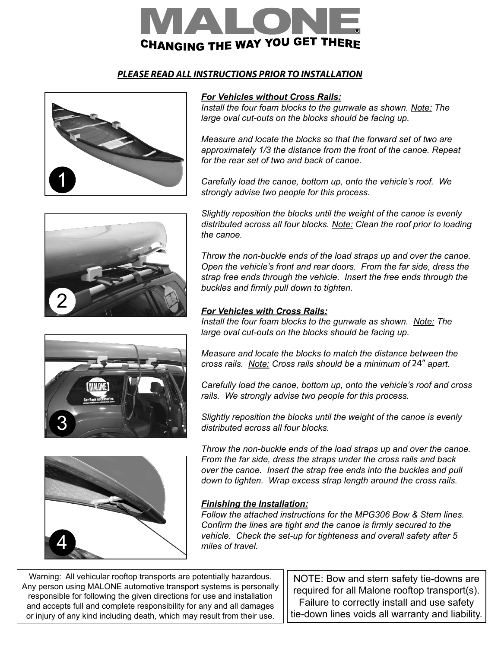

# *PLEASE READ ALL INSTRUCTIONS PRIOR TO INSTALLATION*





## *For Vehicles without Cross Rails:*

*Install the four foam blocks to the gunwale as shown. Note: The large oval cut-outs on the blocks should be facing up.* 

*Measure and locate the blocks so that the forward set of two are approximately 1/3 the distance from the front of the canoe. Repeat for the rear set of two and back of canoe*.

*Carefully load the canoe, bottom up, onto the vehicle's roof. We strongly advise two people for this process.*

*Slightly reposition the blocks until the weight of the canoe is evenly distributed across all four blocks. Note: Clean the roof prior to loading the canoe.* 

*Throw the non-buckle ends of the load straps up and over the canoe. Open the vehicle's front and rear doors. From the far side, dress the strap free ends through the vehicle. Insert the free ends through the buckles and firmly pull down to tighten.*

### *For Vehicles with Cross Rails:*

*Install the four foam blocks to the gunwale as shown. Note: The large oval cut-outs on the blocks should be facing up.* 



*Carefully load the canoe, bottom up, onto the vehicle's roof and cross rails. We strongly advise two people for this process.*

*Slightly reposition the blocks until the weight of the canoe is evenly distributed across all four blocks.*



3

*Throw the non-buckle ends of the load straps up and over the canoe. From the far side, dress the straps under the cross rails and back over the canoe. Insert the strap free ends into the buckles and pull down to tighten. Wrap excess strap length around the cross rails.*

## *Finishing the Installation:*

*Follow the attached instructions for the MPG306 Bow & Stern lines. Confirm the lines are tight and the canoe is firmly secured to the vehicle. Check the set-up for tighteness and overall safety after 5 miles of travel.*

Warning: All vehicular rooftop transports are potentially hazardous. Any person using MALONE automotive transport systems is personally responsible for following the given directions for use and installation and accepts full and complete responsibility for any and all damages or injury of any kind including death, which may result from their use.

NOTE: Bow and stern safety tie-downs are and storn sarsty<br>all Malone roofto required for all Malone rooftop transport(s). Failure to correctly install and use safety tie-down lines voids all warranty and liability.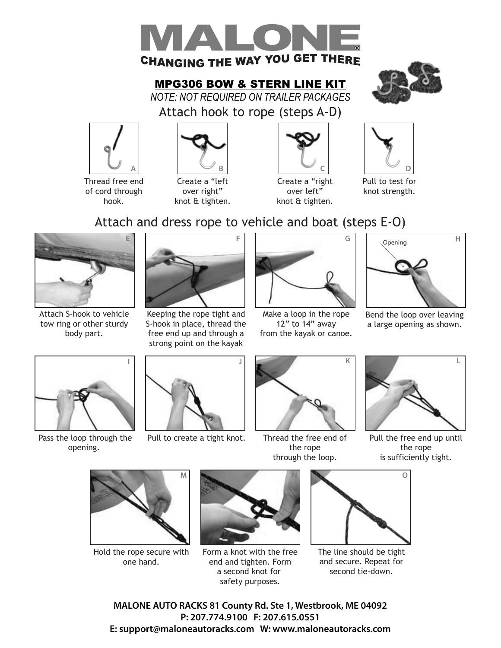

**MPG306 BOW & STERN LINE KIT** MPG306 BOW & STERN LINE KIT

*NOTE: NOT REQUIRED ON TRAILER PACKAGES*



Attach hook to rope (steps A-D)







knot & tighten.



Create a "right over left" knot & tighten.



Pull to test for knot strength.

# Attach and dress rope to vehicle and boat (steps E-O)



Attach S-hook to vehicle tow ring or other sturdy body part.



Keeping the rope tight and S-hook in place, thread the free end up and through a strong point on the kayak



Make a loop in the rope 12" to 14" away from the kayak or canoe.



Bend the loop over leaving a large opening as shown.



Pass the loop through the opening.



Pull to create a tight knot.



Thread the free end of the rope through the loop.



Pull the free end up until the rope is sufficiently tight.



Hold the rope secure with one hand.



Form a knot with the free end and tighten. Form a second knot for safety purposes.



The line should be tight and secure. Repeat for second tie-down.

 $MITO$   $DACUC$   $O4$   $C$  county  $DAC$   $C4$   $A$   $M1$   $A1$ MALONE AUTO RACKS 81 County Rd. Ste 1, Westbrook, ME 04092 Website: www.maloneautoracks.com Email: technical@maloneautoracks.com **P: 207.774.9100 F: 207.615.0551 E: support@maloneautoracks.com W: www.maloneautoracks.com**